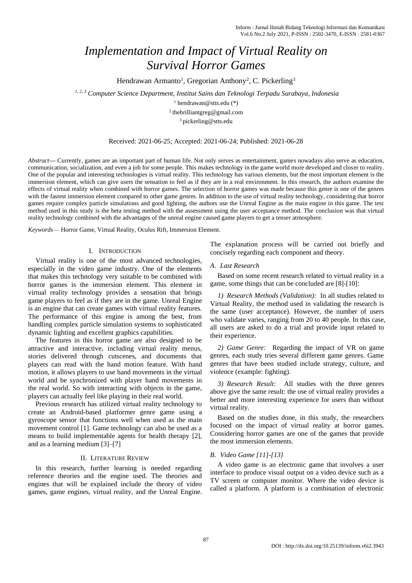# *Implementation and Impact of Virtual Reality on Survival Horror Games*

Hendrawan Armanto<sup>1</sup>, Gregorian Anthony<sup>2</sup>, C. Pickerling<sup>3</sup>

*1, 2, 3 Computer Science Department, Institut Sains dan Teknologi Terpadu Surabaya, Indonesia*

 $1$  [hendrawan@s](mailto:author1@unitomo.ac.id)tts.edu (\*) 2 thebrilliantgreg@gmail.com <sup>3</sup> pickerling@stts.edu

#### Received: 2021-06-25; Accepted: 2021-06-24; Published: 2021-06-28

*Abstract***—** Currently, games are an important part of human life. Not only serves as entertainment, games nowadays also serve as education, communication, socialization, and even a job for some people. This makes technology in the game world more developed and closer to reality. One of the popular and interesting technologies is virtual reality. This technology has various elements, but the most important element is the immersion element, which can give users the sensation to feel as if they are in a real environment. In this research, the authors examine the effects of virtual reality when combined with horror games. The selection of horror games was made because this genre is one of the genres with the fastest immersion element compared to other game genres. In addition to the use of virtual reality technology, considering that horror games require complex particle simulations and good lighting, the authors use the Unreal Engine as the main engine in this game. The test method used in this study is the beta testing method with the assessment using the user acceptance method. The conclusion was that virtual reality technology combined with the advantages of the unreal engine caused game players to get a tenser atmosphere.

*Keywords*— Horror Game, Virtual Reality, Oculus Rift, Immersion Element.

### I. INTRODUCTION

Virtual reality is one of the most advanced technologies, especially in the video game industry. One of the elements that makes this technology very suitable to be combined with horror games is the immersion element. This element in virtual reality technology provides a sensation that brings game players to feel as if they are in the game. Unreal Engine is an engine that can create games with virtual reality features. The performance of this engine is among the best, from handling complex particle simulation systems to sophisticated dynamic lighting and excellent graphics capabilities.

The features in this horror game are also designed to be attractive and interactive, including virtual reality menus, stories delivered through cutscenes, and documents that players can read with the hand motion feature. With hand motion, it allows players to use hand movements in the virtual world and be synchronized with player hand movements in the real world. So with interacting with objects in the game, players can actually feel like playing in their real world.

Previous research has utilized virtual reality technology to create an Android-based platformer genre game using a gyroscope sensor that functions well when used as the main movement control [1]. Game technology can also be used as a means to build implementable agents for health therapy [2], and as a learning medium [3]–[7]

#### II. LITERATURE REVIEW

In this research, further learning is needed regarding reference theories and the engine used. The theories and engines that will be explained include the theory of video games, game engines, virtual reality, and the Unreal Engine. The explanation process will be carried out briefly and concisely regarding each component and theory.

#### *A. Last Research*

Based on some recent research related to virtual reality in a game, some things that can be concluded are [8]-[10]:

*1) Research Methods (Validation):* In all studies related to Virtual Reality, the method used in validating the research is the same (user acceptance). However, the number of users who validate varies, ranging from 20 to 40 people. In this case, all users are asked to do a trial and provide input related to their experience.

*2) Game Genre:* Regarding the impact of VR on game genres, each study tries several different game genres. Game genres that have been studied include strategy, culture, and violence (example: fighting).

*3) Research Result:* All studies with the three genres above give the same result: the use of virtual reality provides a better and more interesting experience for users than without virtual reality.

Based on the studies done, in this study, the researchers focused on the impact of virtual reality at horror games. Considering horror games are one of the games that provide the most immersion elements.

## *B. Video Game [11]-[13]*

A video game is an electronic game that involves a user interface to produce visual output on a video device such as a TV screen or computer monitor. Where the video device is called a platform. A platform is a combination of electronic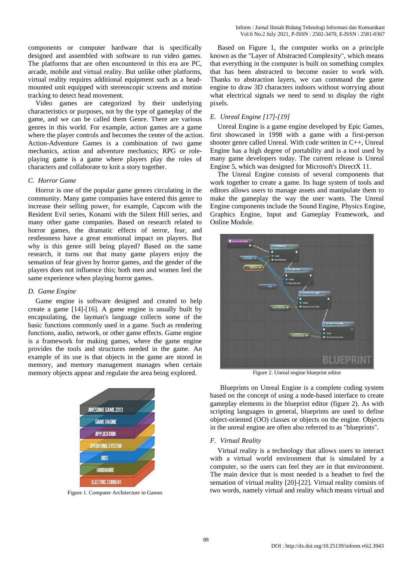components or computer hardware that is specifically designed and assembled with software to run video games. The platforms that are often encountered in this era are PC, arcade, mobile and virtual reality. But unlike other platforms, virtual reality requires additional equipment such as a headmounted unit equipped with stereoscopic screens and motion tracking to detect head movement.

Video games are categorized by their underlying characteristics or purposes, not by the type of gameplay of the game, and we can be called them Genre. There are various genres in this world. For example, action games are a game where the player controls and becomes the center of the action. Action-Adventure Games is a combination of two game mechanics, action and adventure mechanics; RPG or roleplaying game is a game where players play the roles of characters and collaborate to knit a story together.

## *C. Horror Game*

Horror is one of the popular game genres circulating in the community. Many game companies have entered this genre to increase their selling power, for example, Capcom with the Resident Evil series, Konami with the Silent Hill series, and many other game companies. Based on research related to horror games, the dramatic effects of terror, fear, and restlessness have a great emotional impact on players. But why is this genre still being played? Based on the same research, it turns out that many game players enjoy the sensation of fear given by horror games, and the gender of the players does not influence this; both men and women feel the same experience when playing horror games.

## *D. Game Engine*

Game engine is software designed and created to help create a game [14]-[16]. A game engine is usually built by encapsulating, the layman's language collects some of the basic functions commonly used in a game. Such as rendering functions, audio, network, or other game effects. Game engine is a framework for making games, where the game engine provides the tools and structures needed in the game. An example of its use is that objects in the game are stored in memory, and memory management manages when certain memory objects appear and regulate the area being explored.



Figure 1. Computer Architecture in Games

Based on Figure 1, the computer works on a principle known as the "Layer of Abstracted Complexity", which means that everything in the computer is built on something complex that has been abstracted to become easier to work with. Thanks to abstraction layers, we can command the game engine to draw 3D characters indoors without worrying about what electrical signals we need to send to display the right pixels.

## *E. Unreal Engine [17]-[19]*

Unreal Engine is a game engine developed by Epic Games, first showcased in 1998 with a game with a first-person shooter genre called Unreal. With code written in C++, Unreal Engine has a high degree of portability and is a tool used by many game developers today. The current release is Unreal Engine 5, which was designed for Microsoft's DirectX 11.

The Unreal Engine consists of several components that work together to create a game. Its huge system of tools and editors allows users to manage assets and manipulate them to make the gameplay the way the user wants. The Unreal Engine components include the Sound Engine, Physics Engine, Graphics Engine, Input and Gameplay Framework, and Online Module.



Figure 2. Unreal engine blueprint editor

Blueprints on Unreal Engine is a complete coding system based on the concept of using a node-based interface to create gameplay elements in the blueprint editor (figure 2). As with scripting languages in general, blueprints are used to define object-oriented (OO) classes or objects on the engine. Objects in the unreal engine are often also referred to as "blueprints".

## *F. Virtual Reality*

Virtual reality is a technology that allows users to interact with a virtual world environment that is simulated by a computer, so the users can feel they are in that environment. The main device that is most needed is a headset to feel the sensation of virtual reality [20]-[22]. Virtual reality consists of two words, namely virtual and reality which means virtual and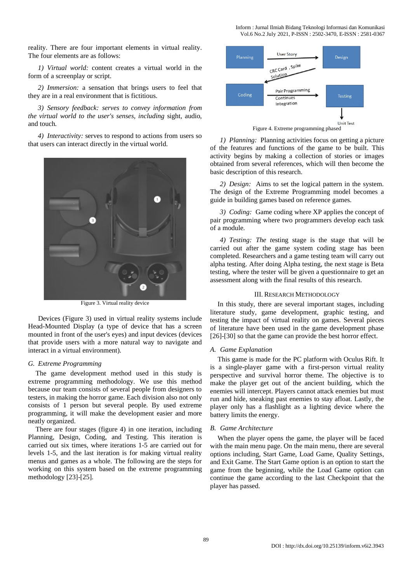reality. There are four important elements in virtual reality. The four elements are as follows:

*1) Virtual world:* content creates a virtual world in the form of a screenplay or script.

*2) Immersion:* a sensation that brings users to feel that they are in a real environment that is fictitious.

*3) Sensory feedback: serves to convey information from the virtual world to the user's senses, including* sight, audio, and touch*.*

*4) Interactivity:* serves to respond to actions from users so that users can interact directly in the virtual world.



Figure 3. Virtual reality device

Devices (Figure 3) used in virtual reality systems include Head-Mounted Display (a type of device that has a screen mounted in front of the user's eyes) and input devices (devices that provide users with a more natural way to navigate and interact in a virtual environment).

#### *G. Extreme Programming*

The game development method used in this study is extreme programming methodology. We use this method because our team consists of several people from designers to testers, in making the horror game. Each division also not only consists of 1 person but several people. By used extreme programming, it will make the development easier and more neatly organized.

There are four stages (figure 4) in one iteration, including Planning, Design, Coding, and Testing. This iteration is carried out six times, where iterations 1-5 are carried out for levels 1-5, and the last iteration is for making virtual reality menus and games as a whole. The following are the steps for working on this system based on the extreme programming methodology [23]-[25].



*1) Planning:* Planning activities focus on getting a picture of the features and functions of the game to be built. This activity begins by making a collection of stories or images obtained from several references, which will then become the basic description of this research.

*2) Design:* Aims to set the logical pattern in the system. The design of the Extreme Programming model becomes a guide in building games based on reference games.

*3) Coding:* Game coding where XP applies the concept of pair programming where two programmers develop each task of a module.

*4) Testing: The t*esting stage is the stage that will be carried out after the game system coding stage has been completed. Researchers and a game testing team will carry out alpha testing. After doing Alpha testing, the next stage is Beta testing, where the tester will be given a questionnaire to get an assessment along with the final results of this research.

#### III. RESEARCH METHODOLOGY

In this study, there are several important stages, including literature study, game development, graphic testing, and testing the impact of virtual reality on games. Several pieces of literature have been used in the game development phase [26]-[30] so that the game can provide the best horror effect.

## *A. Game Explanation*

This game is made for the PC platform with Oculus Rift. It is a single-player game with a first-person virtual reality perspective and survival horror theme. The objective is to make the player get out of the ancient building, which the enemies will intercept. Players cannot attack enemies but must run and hide, sneaking past enemies to stay afloat. Lastly, the player only has a flashlight as a lighting device where the battery limits the energy.

#### *B. Game Architecture*

When the player opens the game, the player will be faced with the main menu page. On the main menu, there are several options including, Start Game, Load Game, Quality Settings, and Exit Game. The Start Game option is an option to start the game from the beginning, while the Load Game option can continue the game according to the last Checkpoint that the player has passed.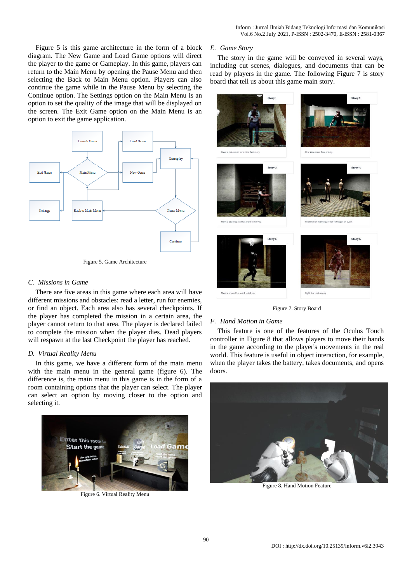Figure 5 is this game architecture in the form of a block diagram. The New Game and Load Game options will direct the player to the game or Gameplay. In this game, players can return to the Main Menu by opening the Pause Menu and then selecting the Back to Main Menu option. Players can also continue the game while in the Pause Menu by selecting the Continue option. The Settings option on the Main Menu is an option to set the quality of the image that will be displayed on the screen. The Exit Game option on the Main Menu is an option to exit the game application.



Figure 5. Game Architecture

## *C. Missions in Game*

There are five areas in this game where each area will have different missions and obstacles: read a letter, run for enemies, or find an object. Each area also has several checkpoints. If the player has completed the mission in a certain area, the player cannot return to that area. The player is declared failed to complete the mission when the player dies. Dead players will respawn at the last Checkpoint the player has reached.

## *D. Virtual Reality Menu*

In this game, we have a different form of the main menu with the main menu in the general game (figure 6). The difference is, the main menu in this game is in the form of a room containing options that the player can select. The player can select an option by moving closer to the option and selecting it.



Figure 6. Virtual Reality Menu

## *E. Game Story*

The story in the game will be conveyed in several ways, including cut scenes, dialogues, and documents that can be read by players in the game. The following Figure 7 is story board that tell us about this game main story.



Figure 7. Story Board

## *F. Hand Motion in Game*

This feature is one of the features of the Oculus Touch controller in Figure 8 that allows players to move their hands in the game according to the player's movements in the real world. This feature is useful in object interaction, for example, when the player takes the battery, takes documents, and opens doors.



Figure 8. Hand Motion Feature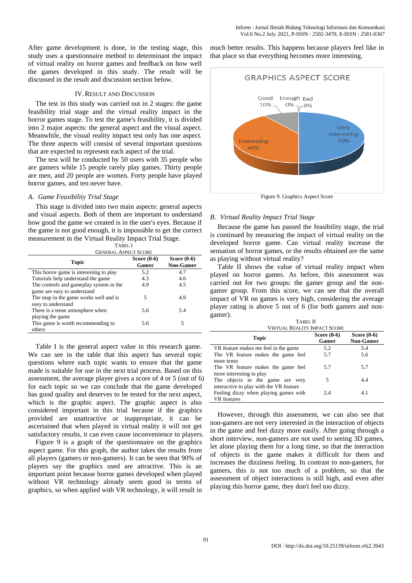After game development is done, in the testing stage, this study uses a questionnaire method to determinant the impact of virtual reality on horror games and feedback on how well the games developed in this study. The result will be discussed in the result and discussion section below.

## IV.RESULT AND DISCUSSION

The test in this study was carried out in 2 stages: the game feasibility trial stage and the virtual reality impact in the horror games stage. To test the game's feasibility, it is divided into 2 major aspects: the general aspect and the visual aspect. Meanwhile, the visual reality impact test only has one aspect. The three aspects will consist of several important questions that are expected to represent each aspect of the trial.

The test will be conducted by 50 users with 35 people who are gamers while 15 people rarely play games. Thirty people are men, and 20 people are women. Forty people have played horror games, and ten never have.

## *A. Game Feasibility Trial Stage*

This stage is divided into two main aspects: general aspects and visual aspects. Both of them are important to understand how good the game we created is in the user's eyes. Because if the game is not good enough, it is impossible to get the correct measurement in the Virtual Reality Impact Trial Stage.

| TABEL I |  |
|---------|--|
|         |  |

| <b>GENERAL ASPECT SCORE</b>             |                        |                                   |  |
|-----------------------------------------|------------------------|-----------------------------------|--|
| <b>Topic</b>                            | Score $(0-6)$<br>Gamer | Score $(0-6)$<br><b>Non-Gamer</b> |  |
| This horror game is interesting to play | 5.2                    | 4.7                               |  |
| Tutorials help understand the game      | 4.3                    | 4.6                               |  |
| The controls and gameplay system in the | 4.9                    | 4.5                               |  |
| game are easy to understand             |                        |                                   |  |
| The map in the game works well and is   | 5                      | 4.9                               |  |
| easy to understand                      |                        |                                   |  |
| There is a tense atmosphere when        | 5.6                    | 5.4                               |  |
| playing the game                        |                        |                                   |  |
| This game is worth recommending to      | 5.6                    | 5                                 |  |
| others                                  |                        |                                   |  |

Table I is the general aspect value in this research game. We can see in the table that this aspect has several topic questions where each topic wants to ensure that the game made is suitable for use in the next trial process. Based on this assessment, the average player gives a score of 4 or 5 (out of 6) for each topic so we can conclude that the game developed has good quality and deserves to be tested for the next aspect, which is the graphic aspect. The graphic aspect is also considered important in this trial because if the graphics provided are unattractive or inappropriate, it can be ascertained that when played in virtual reality it will not get satisfactory results, it can even cause inconvenience to players.

Figure 9 is a graph of the questionnaire on the graphics aspect game. For this graph, the author takes the results from all players (gamers or non-gamers). It can be seen that 90% of players say the graphics used are attractive. This is an important point because horror games developed when played without VR technology already seem good in terms of graphics, so when applied with VR technology, it will result in

much better results. This happens because players feel like in that place so that everything becomes more interesting.



Figure 9. Graphics Aspect Score

### *B. Virtual Reality Impact Trial Stage*

Because the game has passed the feasibility stage, the trial is continued by measuring the impact of virtual reality on the developed horror game. Can virtual reality increase the sensation of horror games, or the results obtained are the same as playing without virtual reality?

Table II shows the value of virtual reality impact when played on horror games. As before, this assessment was carried out for two groups: the gamer group and the nongamer group. From this score, we can see that the overall impact of VR on games is very high, considering the average player rating is above 5 out of 6 (for both gamers and nongamer).

| TABEL II                                |                        |                                   |  |  |
|-----------------------------------------|------------------------|-----------------------------------|--|--|
| <b>VIRTUAL REALITY IMPACT SCORE</b>     |                        |                                   |  |  |
| Topic                                   | Score $(0-6)$<br>Gamer | Score $(0-6)$<br><b>Non-Gamer</b> |  |  |
| VR feature makes me feel in the game    | 5.2                    | 5.4                               |  |  |
| The VR feature makes the game feel      | 5.7                    | 5.6                               |  |  |
| more tense                              |                        |                                   |  |  |
| The VR feature makes the game feel      | 5.7                    | 5.7                               |  |  |
| more interesting to play                |                        |                                   |  |  |
| The objects in the game are very        | 5                      | 4.4                               |  |  |
| interactive to play with the VR feature |                        |                                   |  |  |
| Feeling dizzy when playing games with   | 2.4                    | 4.1                               |  |  |
| VR features                             |                        |                                   |  |  |

However, through this assessment, we can also see that non-gamers are not very interested in the interaction of objects in the game and feel dizzy more easily. After going through a short interview, non-gamers are not used to seeing 3D games, let alone playing them for a long time, so that the interaction of objects in the game makes it difficult for them and increases the dizziness feeling. In contrast to non-gamers, for gamers, this is not too much of a problem, so that the assessment of object interactions is still high, and even after playing this horror game, they don't feel too dizzy.